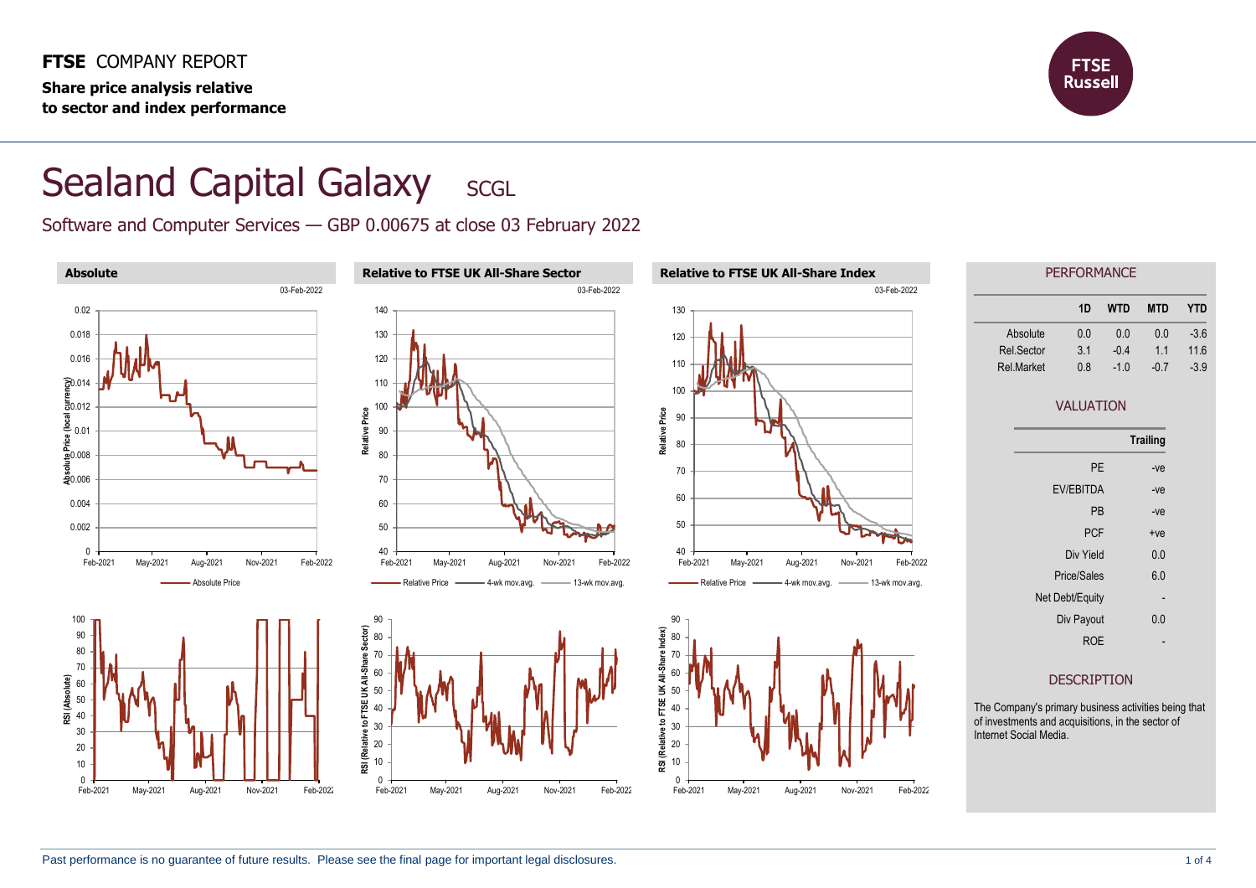**FTSE** COMPANY REPORT **Share price analysis relative to sector and index performance**



## Sealand Capital Galaxy SCGL

Software and Computer Services — GBP 0.00675 at close 03 February 2022

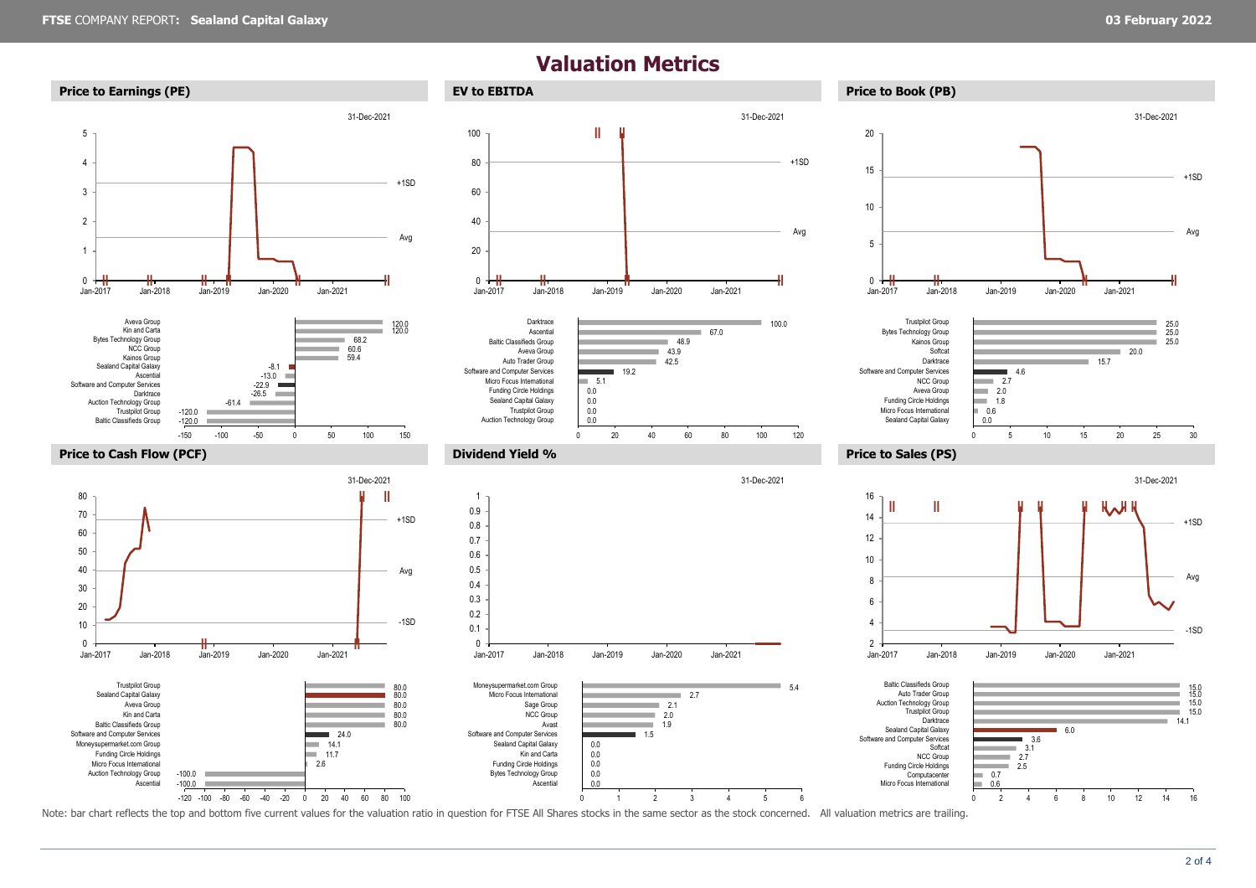## **Valuation Metrics**













1.5 1.9

u.

0 1 2 3 4 5 6

0.0 0.0 0.0 0.0  $0.0$ 







Note: bar chart reflects the top and bottom five current values for the valuation ratio in question for FTSE All Shares stocks in the same sector as the stock concerned. All valuation metrics are trailing.

15.0 15.0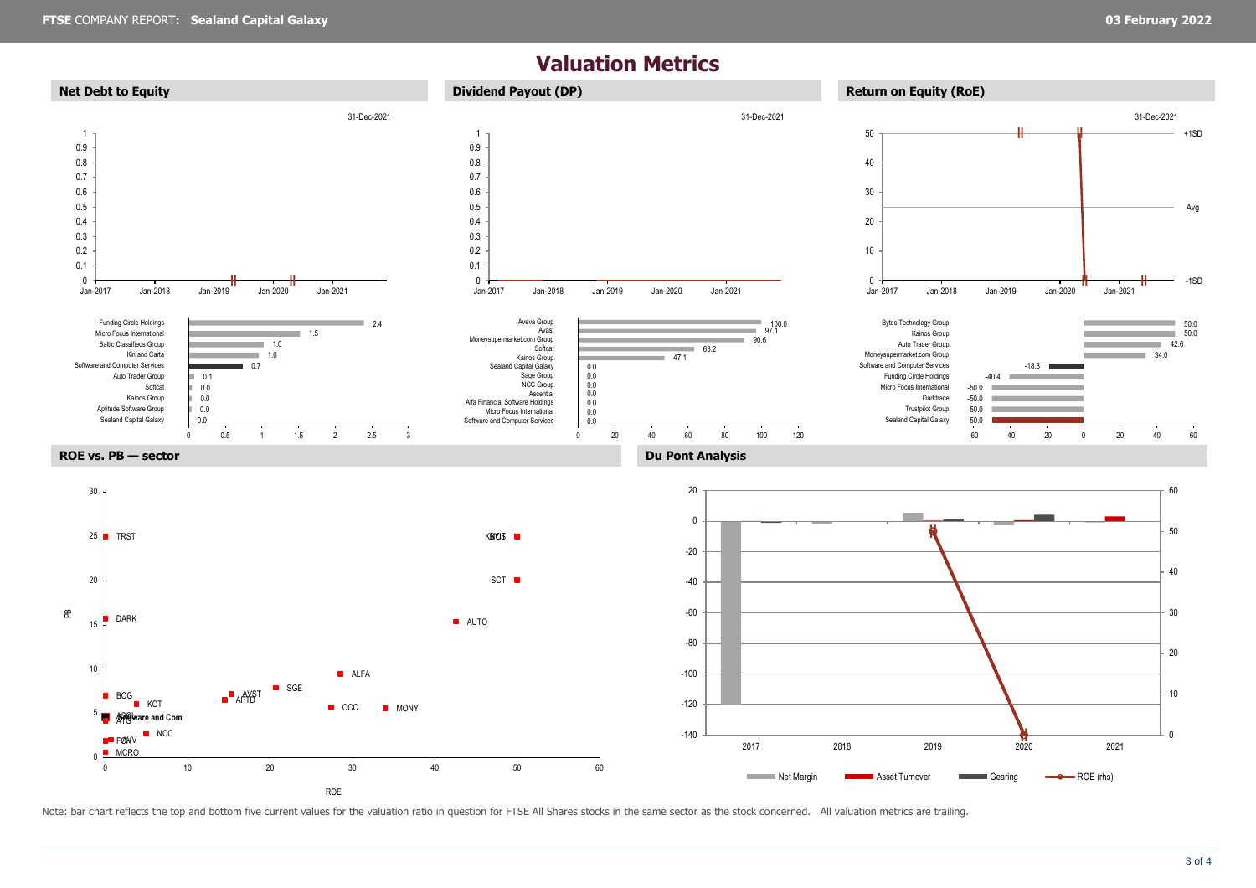## **Valuation Metrics**



Note: bar chart reflects the top and bottom five current values for the valuation ratio in question for FTSE All Shares stocks in the same sector as the stock concerned. All valuation metrics are trailing.